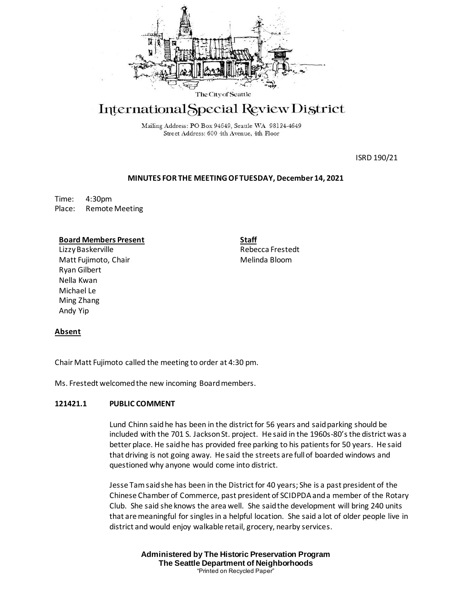

# International Special Review District

Mailing Address: PO Box 94649, Seattle WA 98124-4649 Street Address: 600 4th Avenue, 4th Floor

ISRD 190/21

## **MINUTES FOR THE MEETING OF TUESDAY, December 14, 2021**

Time: 4:30pm Place: Remote Meeting

## **Board Members Present**

LizzyBaskerville Matt Fujimoto, Chair Ryan Gilbert Nella Kwan Michael Le Ming Zhang Andy Yip

**Staff** Rebecca Frestedt Melinda Bloom

## **Absent**

Chair Matt Fujimoto called the meeting to order at 4:30 pm.

Ms. Frestedt welcomed the new incoming Board members.

## **121421.1 PUBLIC COMMENT**

Lund Chinn said he has been in the district for 56 years and said parking should be included with the 701 S. Jackson St. project. He said in the 1960s-80's the district was a better place. He said he has provided free parking to his patients for 50 years. He said that driving is not going away. He said the streets are full of boarded windows and questioned why anyone would come into district.

Jesse Tam said she has been in the District for 40 years; She is a past president of the Chinese Chamber of Commerce, past president of SCIDPDA and a member of the Rotary Club. She said she knows the area well. She said the development will bring 240 units that are meaningful for singles in a helpful location. She said a lot of older people live in district and would enjoy walkable retail, grocery, nearby services.

> **Administered by The Historic Preservation Program The Seattle Department of Neighborhoods** "Printed on Recycled Paper"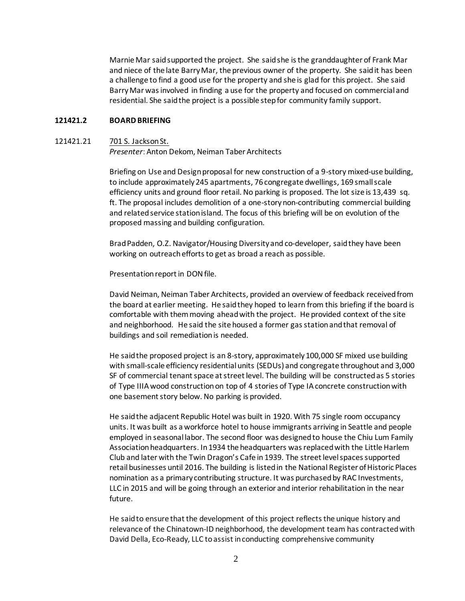Marnie Mar saidsupported the project. She said she is the granddaughter of Frank Mar and niece of the late Barry Mar, the previous owner of the property. She said it has been a challenge to find a good use for the property and she is glad for this project. She said Barry Mar was involved in finding a use for the property and focused on commercial and residential. She said the project is a possible step for community family support.

# **121421.2 BOARD BRIEFING**

#### 121421.21 701 S. Jackson St.

*Presenter*: Anton Dekom, Neiman Taber Architects

Briefing on Use and Design proposal for new construction of a 9-story mixed-use building, to include approximately 245 apartments, 76 congregate dwellings, 169 small scale efficiency units and ground floor retail. No parking is proposed. The lot size is 13,439 sq. ft. The proposal includes demolition of a one-story non-contributing commercial building and related service station island. The focus of this briefing will be on evolution of the proposed massing and building configuration.

Brad Padden, O.Z. Navigator/Housing Diversity and co-developer, said they have been working on outreach efforts to get as broad a reach as possible.

Presentation report in DON file.

David Neiman, Neiman Taber Architects, provided an overview of feedback received from the board at earlier meeting. He said they hoped to learn from this briefing if the board is comfortable with them moving ahead with the project. He provided context of the site and neighborhood. He said the site housed a former gas station and that removal of buildings and soil remediation is needed.

He said the proposed project is an 8-story, approximately 100,000 SF mixed use building with small-scale efficiency residential units (SEDUs) and congregate throughout and 3,000 SF of commercial tenant space at street level. The building will be constructed as 5 stories of Type IIIA wood construction on top of 4 stories of Type IA concrete construction with one basement story below. No parking is provided.

He said the adjacent Republic Hotel was built in 1920. With 75 single room occupancy units. It was built as a workforce hotel to house immigrants arriving in Seattle and people employed in seasonal labor. The second floor was designed to house the Chiu Lum Family Associationheadquarters. In 1934 the headquarters was replacedwith the Little Harlem Club and later with the Twin Dragon's Cafe in 1939. The street level spaces supported retail businesses until 2016. The building is listed in the National Register of Historic Places nomination as a primary contributing structure. It was purchased by RAC Investments, LLC in 2015 and will be going through an exterior and interior rehabilitation in the near future.

He said to ensure that the development of this project reflects the unique history and relevance of the Chinatown-ID neighborhood, the development team has contracted with David Della, Eco-Ready, LLC to assist in conducting comprehensive community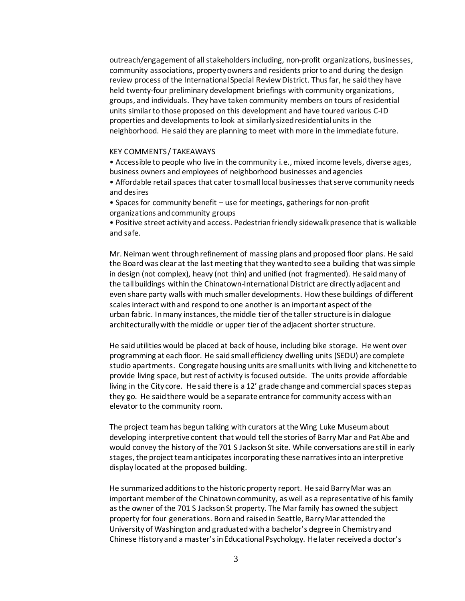outreach/engagement of all stakeholders including, non-profit organizations, businesses, community associations, property owners and residents prior to and during the design review process of the International Special Review District. Thus far, he said they have held twenty-four preliminary development briefings with community organizations, groups, and individuals. They have taken community members on tours of residential units similar to those proposed on this development and have toured various C-ID properties and developments to look at similarly sized residential units in the neighborhood. He said they are planning to meet with more in the immediate future.

#### KEY COMMENTS / TAKEAWAYS

• Accessible to people who live in the community i.e., mixed income levels, diverse ages, business owners and employees of neighborhood businesses and agencies

• Affordable retail spaces that cater to small local businesses that serve community needs and desires

• Spaces for community benefit – use for meetings, gatherings for non-profit organizations and community groups

• Positive street activity and access. Pedestrian friendly sidewalk presence that is walkable and safe.

Mr. Neiman went through refinement of massing plans and proposed floor plans. He said the Board was clear at the last meeting that they wanted to see a building that was simple in design (not complex), heavy (not thin) and unified (not fragmented). He said many of the tall buildings within the Chinatown-International District are directly adjacent and even share party walls with much smaller developments. How these buildings of different scales interact with and respond to one another is an important aspect of the urban fabric. In many instances, the middle tier of the taller structure is in dialogue architecturally with the middle or upper tier of the adjacent shorter structure.

He said utilities would be placed at back of house, including bike storage. He went over programming at each floor. He said small efficiency dwelling units (SEDU) are complete studio apartments. Congregate housing units are small units with living and kitchenette to provide living space, but rest of activity is focused outside. The units provide affordable living in the City core. He said there is a 12' grade change and commercial spaces step as they go. He said there would be a separate entrance for community access with an elevator to the community room.

The project team has begun talking with curators at the Wing Luke Museumabout developing interpretive content that would tell the stories of Barry Mar and Pat Abe and would convey the history of the 701 S Jackson St site. While conversations are still in early stages, the project team anticipates incorporating these narratives into an interpretive display located at the proposed building.

He summarized additions to the historic property report. He said Barry Mar was an important member of the Chinatown community, as well as a representative of his family as the owner of the 701 S Jackson St property. The Mar family has owned the subject property for four generations. Born and raised in Seattle, Barry Mar attended the University of Washington and graduated with a bachelor's degree in Chemistry and Chinese History and a master's in Educational Psychology. He later received a doctor's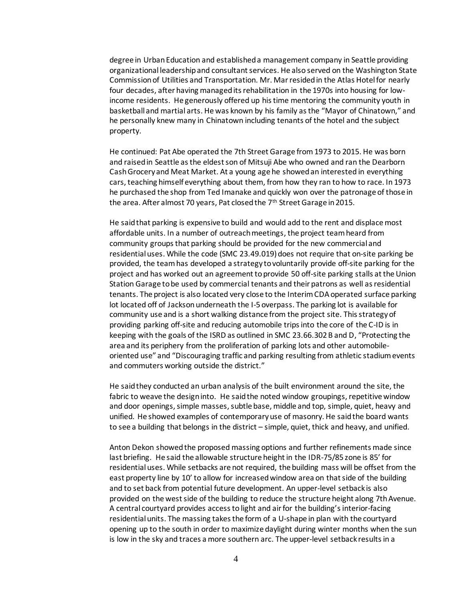degree in UrbanEducation and established a management company in Seattle providing organizational leadership and consultant services. He also served on the Washington State Commission of Utilities and Transportation. Mr. Mar resided in the Atlas Hotel for nearly four decades, after having managed its rehabilitation in the 1970s into housing for lowincome residents. He generously offered up his time mentoring the community youth in basketball and martial arts. He was known by his family as the "Mayor of Chinatown," and he personally knew many in Chinatown including tenants of the hotel and the subject property.

He continued: Pat Abe operated the 7th Street Garage from1973 to 2015. He was born and raised in Seattle as the eldest son of Mitsuji Abe who owned and ran the Dearborn Cash Grocery and Meat Market. At a young age he showed an interested in everything cars, teaching himself everything about them, from how they ran to how to race. In 1973 he purchased the shop from Ted Imanake and quickly won over the patronage of those in the area. After almost 70 years, Pat closed the 7<sup>th</sup> Street Garage in 2015.

He said that parking is expensive to build and would add to the rent and displace most affordable units. In a number of outreach meetings, the project team heard from community groups that parking should be provided for the new commercial and residential uses. While the code (SMC 23.49.019) does not require that on-site parking be provided, the team has developed a strategy to voluntarily provide off-site parking for the project and has worked out an agreement to provide 50 off-site parking stalls at the Union Station Garage to be used by commercial tenants and their patrons as well as residential tenants. The project is also located very close to the Interim CDA operated surface parking lot located off of Jackson underneath the I-5 overpass. The parking lot is available for community use and is a short walking distance from the project site. This strategy of providing parking off-site and reducing automobile trips into the core of the C-ID is in keeping with the goals of the ISRD as outlined in SMC 23.66.302 B and D, "Protecting the area and its periphery from the proliferation of parking lots and other automobileoriented use" and "Discouraging traffic and parking resulting from athletic stadium events and commuters working outside the district."

He said they conducted an urban analysis of the built environment around the site, the fabric to weave the design into. He said the noted window groupings, repetitive window and door openings, simple masses, subtle base, middle and top, simple, quiet, heavy and unified. He showed examples of contemporary use of masonry. He said the board wants to see a building that belongs in the district – simple, quiet, thick and heavy, and unified.

Anton Dekon showed the proposed massing options and further refinements made since last briefing. He said the allowable structure height in the IDR-75/85 zone is 85' for residential uses. While setbacks are not required, the building mass will be offset from the east property line by 10' to allow for increased window area on that side of the building and to set back from potential future development. An upper-level setback is also provided on the west side of the building to reduce the structure height along 7th Avenue. A central courtyard provides access to light and air for the building's interior-facing residential units. The massing takes the form of a U-shape in plan with the courtyard opening up to the south in order to maximize daylight during winter months when the sun is low in the sky and traces a more southern arc. The upper-level setback results in a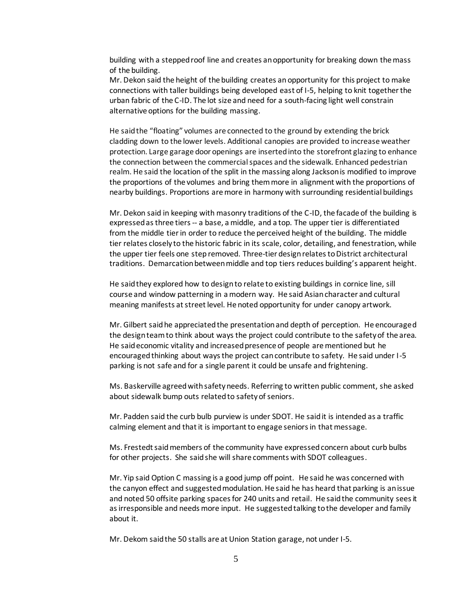building with a stepped roof line and creates an opportunity for breaking down the mass of the building.

Mr. Dekon said the height of the building creates an opportunity for this project to make connections with taller buildings being developed east of I-5, helping to knit together the urban fabric of the C-ID. The lot size and need for a south-facing light well constrain alternative options for the building massing.

He said the "floating" volumes are connected to the ground by extending the brick cladding down to the lower levels. Additional canopies are provided to increase weather protection. Large garage door openings are inserted into the storefront glazing to enhance the connection between the commercial spaces and the sidewalk. Enhanced pedestrian realm. He said the location of the split in the massing along Jackson is modified to improve the proportions of the volumes and bring them more in alignment with the proportions of nearby buildings. Proportions are more in harmony with surrounding residential buildings

Mr. Dekon said in keeping with masonry traditions of the C-ID, the facade of the building is expressed as three tiers -- a base, a middle, and a top. The upper tier is differentiated from the middle tierin order to reduce the perceived height of the building. The middle tier relates closely to the historic fabric in its scale, color, detailing, and fenestration, while the upper tier feels one step removed. Three-tier design relates to District architectural traditions. Demarcation between middle and top tiers reduces building's apparent height.

He said they explored how to design to relate to existing buildings in cornice line, sill course and window patterning in a modern way. He said Asian character and cultural meaning manifests at street level. He noted opportunity for under canopy artwork.

Mr. Gilbert said he appreciated the presentation and depth of perception. He encouraged the design team to think about ways the project could contribute to the safety of the area. He said economic vitality and increased presence of people are mentioned but he encouraged thinking about ways the project can contribute to safety. He said under I-5 parking is not safe and for a single parent it could be unsafe and frightening.

Ms. Baskerville agreed with safety needs. Referring to written public comment, she asked about sidewalk bump outs related to safety of seniors.

Mr. Padden said the curb bulb purview is under SDOT. He said it is intended as a traffic calming element and that it is important to engage seniors in that message.

Ms. Frestedt said members of the community have expressed concern about curb bulbs for other projects. She said she will share comments with SDOT colleagues.

Mr. Yip said Option C massing is a good jump off point. He said he was concerned with the canyon effect and suggested modulation. He said he has heard that parking is an issue and noted 50 offsite parking spaces for 240 units and retail. He said the community sees it as irresponsible and needs more input. He suggested talking to the developer and family about it.

Mr. Dekom said the 50 stalls are at Union Station garage, not under I-5.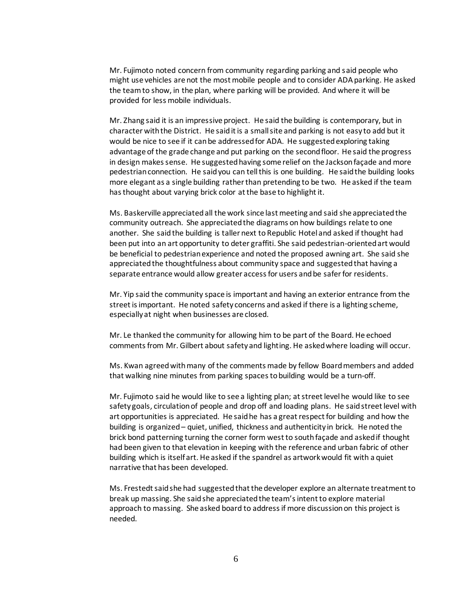Mr. Fujimoto noted concern from community regarding parking and said people who might use vehicles are not the most mobile people and to consider ADA parking. He asked the team to show, in the plan, where parking will be provided. And where it will be provided for less mobile individuals.

Mr. Zhang said it is an impressive project. He said the building is contemporary, but in character with the District. He said it is a small site and parking is not easy to add but it would be nice to see if it can be addressed for ADA. He suggested exploring taking advantage of the grade change and put parking on the second floor. He said the progress in design makes sense. He suggested having some relief on the Jackson façade and more pedestrian connection. He said you can tell this is one building. He said the building looks more elegant as a single building rather than pretending to be two. He asked if the team has thought about varying brick color at the base to highlight it.

Ms. Baskerville appreciated all the work since last meeting and said she appreciated the community outreach. She appreciated the diagrams on how buildings relate to one another. She said the building is taller next to Republic Hotel and asked if thought had been put into an art opportunity to deter graffiti. She said pedestrian-oriented art would be beneficial to pedestrian experience and noted the proposed awning art. She said she appreciated the thoughtfulness about community space and suggested that having a separate entrance would allow greater access for users and be safer for residents.

Mr. Yip said the community space is important and having an exterior entrance from the street is important. He noted safety concerns and asked if there is a lighting scheme, especially at night when businesses are closed.

Mr. Le thanked the community for allowing him to be part of the Board. He echoed comments from Mr. Gilbert about safety and lighting. He asked where loading will occur.

Ms. Kwan agreed with many of the comments made by fellow Board members and added that walking nine minutes from parking spacesto building would be a turn-off.

Mr. Fujimoto said he would like to see a lighting plan; at street level he would like to see safety goals, circulation of people and drop off and loading plans. He said street level with art opportunities is appreciated. He said he has a great respect for building and how the building is organized – quiet, unified, thickness and authenticity in brick. He noted the brick bond patterning turning the corner form west to south façade and asked if thought had been given to that elevation in keeping with the reference and urban fabric of other building which is itself art. He asked if the spandrel as artwork would fit with a quiet narrative that has been developed.

Ms. Frestedt said she had suggested that the developer explore an alternate treatment to break up massing. She said she appreciated the team's intent to explore material approach to massing. She asked board to address if more discussion on this project is needed.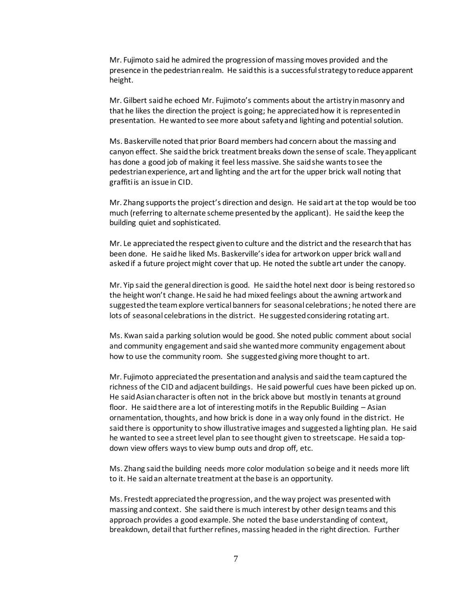Mr. Fujimoto said he admired the progression of massing moves provided and the presence in the pedestrian realm. He said this is a successful strategy to reduce apparent height.

Mr. Gilbert said he echoed Mr. Fujimoto's comments about the artistry in masonry and that he likes the direction the project is going; he appreciated how it is represented in presentation. He wanted to see more about safety and lighting and potential solution.

Ms. Baskerville noted that prior Board members had concern about the massing and canyon effect. She said the brick treatment breaks down the sense of scale. They applicant has done a good job of making it feel less massive. She said she wants to see the pedestrian experience, art and lighting and the art for the upper brick wall noting that graffiti is an issue in CID.

Mr. Zhang supports the project's direction and design. He said art at the top would be too much (referring to alternate scheme presented by the applicant). He said the keep the building quiet and sophisticated.

Mr. Le appreciated the respect given to culture and the district and the research that has been done. He said he liked Ms. Baskerville's idea for artwork on upper brick wall and asked if a future project might cover that up. He noted the subtle art under the canopy.

Mr. Yip said the general direction is good. He said the hotel next door is being restored so the height won't change. He said he had mixed feelings about the awning artwork and suggested the team explore vertical banners for seasonal celebrations; he noted there are lots of seasonal celebrations in the district. He suggested considering rotating art.

Ms. Kwan said a parking solution would be good. She noted public comment about social and community engagement and said she wanted more community engagement about how to use the community room. She suggested giving more thought to art.

Mr. Fujimoto appreciated the presentation and analysis and said the team captured the richness of the CID and adjacent buildings. He said powerful cues have been picked up on. He said Asian character is often not in the brick above but mostly in tenants at ground floor. He said there are a lot of interesting motifs in the Republic Building – Asian ornamentation, thoughts, and how brick is done in a way only found in the district. He said there is opportunity to show illustrative images and suggested a lighting plan. He said he wanted to see a street level plan to see thought given to streetscape. He said a topdown view offers ways to view bump outs and drop off, etc.

Ms. Zhang said the building needs more color modulation so beige and it needs more lift to it. He said an alternate treatment at the base is an opportunity.

Ms. Frestedt appreciated the progression, and the way project was presented with massing and context. She said there is much interest by other design teams and this approach provides a good example. She noted the base understanding of context, breakdown, detail that further refines, massing headed in the right direction. Further